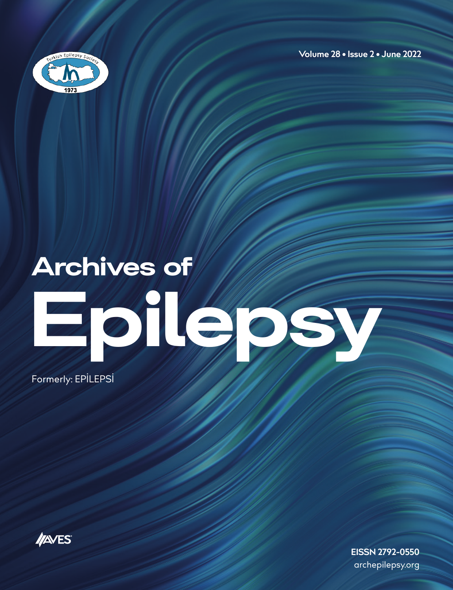

**Volume 28 • Issue 2 • June 2022**

## Archives of

# Epilepsy Maria

Formerly: EPİLEPSİ

<span id="page-0-0"></span>

**EISSN 2792-0550** archepilepsy.org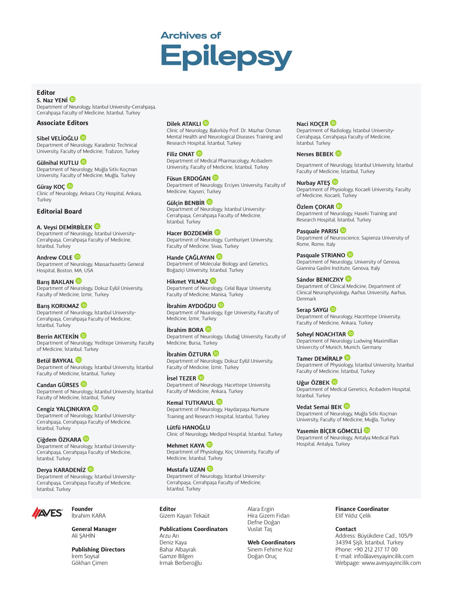### **Archives of Epilepsy**

#### *Editor*

*S. Naz YEN[İ](http://orcid.org/0000-0001-7372-5430)  Department of Neurology, İstanbul University-Cerrahpaşa, Cerrahpaşa Faculty of Medicine, İstanbul, Turkey*

#### *Associate Editors*

#### *Sibel VELİOĞLU*

*Department of Neurology, Karadeniz Technical University, Faculty of Medicine, Trabzon, Turkey*

*Gülnihal KUTLU Department of Neurology, Muğla Sıtkı Koçman University, Faculty of Medicine, Muğla, Turkey* 

*Güray KOÇ Clinic of Neurology, Ankara City Hospital, Ankara, Turkey*

#### *Editorial Board*

*A. Veysi DEMİRBİLEK Department of Neurology, İstanbul University-Cerrahpaşa, Cerrahpaşa Faculty of Medicine, İstanbul, Turkey*

*Andrew COLE Department of Neurology, Massachusetts General Hospital, Boston, MA, USA*

*Barış BAKLAN Department of Neurology, Dokuz Eylül University, Faculty of Medicine, İzmir, Turkey*

*Barış KORKMAZ Department of Neurology, İstanbul University-Cerrahpaşa, Cerrahpaşa Faculty of Medicine, İstanbul, Turkey*

*Berrin AKTEKİN Department of Neurology, Yeditepe University, Faculty of Medicine, İstanbul, Turkey*

*Betül BAYKAL Department of Neurology, İstanbul University, İstanbul Faculty of Medicine, İstanbul, Turkey*

*Candan GÜRSES Department of Neurology, İstanbul University, İstanbul Faculty of Medicine, İstanbul, Turkey*

*Cengiz YALÇINKAYA Department of Neurology, İstanbul University-Cerrahpaşa, Cerrahpaşa Faculty of Medicine, İstanbul, Turkey*

*Çiğdem ÖZKARA Department of Neurology, İstanbul University-Cerrahpaşa, Cerrahpaşa Faculty of Medicine, İstanbul, Turkey*

*Derya KARADENİZ Department of Neurology, İstanbul University-Cerrahpaşa, Cerrahpaşa Faculty of Medicine, İstanbul, Turkey*



*Founder İbrahim KARA*

*General Manager Ali ŞAHİN*

*Publishing Directors İrem Soysal Gökhan Çimen*

#### *Dilek ATAKLI*

*Clinic of Neurology, Bakırköy Prof. Dr. Mazhar Osman Mental Health and Neurological Diseases Training and Research Hospital, İstanbul, Turkey*

*Filiz ONAT Department of Medical Pharmacology, Acıbadem University, Faculty of Medicine, İstanbul, Turkey*

*Füsun ERDOĞAN Department of Neurology, Erciyes University, Faculty of Medicine, Kayseri, Turkey*

*Gülçin BENBİR Department of Neurology, İstanbul University-Cerrahpaşa, Cerrahpaşa Faculty of Medicine, İstanbul, Turkey*

*Hacer BOZDEMİR Department of Neurology, Cumhuriyet University, Faculty of Medicine, Sivas, Turkey*

*Hande ÇAĞLAYAN Department of Molecular Biology and Genetics, Boğaziçi University, İstanbul, Turkey*

*Hikmet YILMAZ Department of Neurology, Celal Bayar University, Faculty of Medicine, Manisa, Turkey*

*İbrahim AYDOĞDU Department of Nuurology, Ege University, Faculty of Medicine, İzmir, Turkey*

*İbrahim BORA Department of Neurology, Uludağ University, Faculty of Medicine, Bursa, Turkey*

*İbrahim ÖZTURA Department of Neurology, Dokuz Eylül University, Faculty of Medicine, İzmir, Turkey*

*İrsel TEZER Department of Neurology, Hacettepe University, Faculty of Medicine, Ankara, Turkey*

*Kemal TUTKAVUL Department of Neurology, Haydarpaşa Numune Training and Research Hospital, İstanbul, Turkey*

*Lütfü HANOĞLU Clinic of Neurology, Medipol Hospital, İstanbul, Turkey*

*Mehmet KAYA Department of Physiology, Koç University, Faculty of Medicine, İstanbul, Turkey*

#### *Mustafa UZAN*

*Department of Neurology, İstanbul University-Cerrahpaşa, Cerrahpaşa Faculty of Medicine, İstanbul, Turkey*

*Editor Gizem Kayan Tekaüt*

*Publications Coordinators Arzu Arı*

*Deniz Kaya Bahar Albayrak Gamze Bilgen Irmak Berberoğlu* *Alara Ergin Hira Gizem Fidan Defne Doğan Vuslat Taş*

*Doğan Oruç*

*Web Coordinators Sinem Fehime Koz*

#### **Naci KOCER**

*Department of Radiology, İstanbul University-Cerrahpaşa, Cerrahpaşa Faculty of Medicine, İstanbul, Turkey*

#### *Nerses BEBEK*

*Department of Neurology, İstanbul University, İstanbul Faculty of Medicine, İstanbul, Turkey*

*Nurbay ATEŞ Department of Physiology, Kocaeli University, Faculty of Medicine, Kocaeli, Turkey*

*Özlem ÇOKAR Department of Neurology, Haseki Training and Research Hospital, İstanbul, Turkey*

*Pasquale PARISI Department of Neuroscience, Sapienza University of Rome, Rome, Italy*

*Pasquale STRIANO Department of Neurology, University of Genova, Giannina Gaslini Institute, Genova, Italy*

*Sándor BENICZKY Department of Clinical Medicine, Department of Clinical Neurophysiology, Aarhus University, Aarhus, Denmark*

*Serap SAYGI Department of Neurology, Hacettepe University, Faculty of Medicine, Ankara, Turkey*

*Soheyl NOACHTAR Department of Neurology Ludwing Maximillian Univercity of Munich, Munich, Germany*

*Tamer DEMİRALP Department of Physiology, İstanbul University, İstanbul Faculty of Medicine, İstanbul, Turkey*

*Uğur ÖZBEK Department of Medical Genetics, Acıbadem Hospital, İstanbul, Turkey*

*Vedat Semai BEK Department of Neurology, Muğla Sıtkı Koçman University, Faculty of Medicine, Muğla, Turkey*

*Yasemin BİÇER GÖMCELİ Department of Neurology, Antalya Medical Park Hospital, Antalya, Turkey*

#### *Finance Coordinator Elif Yıldız Çelik*

*Contact*

*Address: Büyükdere Cad., 105/9 34394 Şişli, İstanbul, Turkey Phone: +90 212 217 17 00 E-mail: info@avesyayincilik.com Webpage: www.avesyayincilik.com*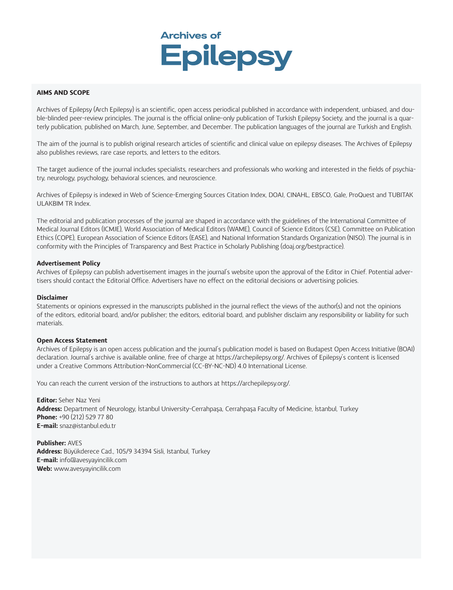

#### *AIMS AND SCOPE*

*Archives of Epilepsy (Arch Epilepsy) is an scientific, open access periodical published in accordance with independent, unbiased, and double-blinded peer-review principles. The journal is the official online-only publication of Turkish Epilepsy Society, and the journal is a quarterly publication, published on March, June, September, and December. The publication languages of the journal are Turkish and English.*

*The aim of the journal is to publish original research articles of scientific and clinical value on epilepsy diseases. The Archives of Epilepsy also publishes reviews, rare case reports, and letters to the editors.*

*The target audience of the journal includes specialists, researchers and professionals who working and interested in the fields of psychiatry, neurology, psychology, behavioral sciences, and neuroscience.* 

*Archives of Epilepsy is indexed in Web of Science-Emerging Sources Citation Index, DOAJ, CINAHL, EBSCO, Gale, ProQuest and TUBITAK ULAKBIM TR Index.*

*The editorial and publication processes of the journal are shaped in accordance with the guidelines of the International Committee of Medical Journal Editors (ICMJE), World Association of Medical Editors (WAME), Council of Science Editors (CSE), Committee on Publication Ethics (COPE), European Association of Science Editors (EASE), and National Information Standards Organization (NISO). The journal is in conformity with the Principles of Transparency and Best Practice in Scholarly Publishing (doaj.org/bestpractice).*

#### *Advertisement Policy*

*Archives of Epilepsy can publish advertisement images in the journal's website upon the approval of the Editor in Chief. Potential advertisers should contact the Editorial Office. Advertisers have no effect on the editorial decisions or advertising policies.*

#### *Disclaimer*

*Statements or opinions expressed in the manuscripts published in the journal reflect the views of the author(s) and not the opinions of the editors, editorial board, and/or publisher; the editors, editorial board, and publisher disclaim any responsibility or liability for such materials.*

#### *Open Access Statement*

*Archives of Epilepsy is an open access publication and the journal's publication model is based on Budapest Open Access Initiative (BOAI) declaration. Journal's archive is available online, free of charge at https://archepilepsy.org/. Archives of Epilepsy's content is licensed under a Creative Commons Attribution-NonCommercial (CC-BY-NC-ND) 4.0 International License.*

*You can reach the current version of the instructions to authors at https://archepilepsy.org/.*

*Editor: Seher Naz Yeni Address: Department of Neurology, İstanbul University-Cerrahpaşa, Cerrahpaşa Faculty of Medicine, İstanbul, Turkey Phone: +90 (212) 529 77 80 E-mail: snaz*@*istanbul.edu.tr*

*Publisher: AVES Address: Büyükderece Cad., 105/9 34394 Sisli, Istanbul, Turkey E-mail: info@avesyayincilik.com Web: www.avesyayincilik.com*